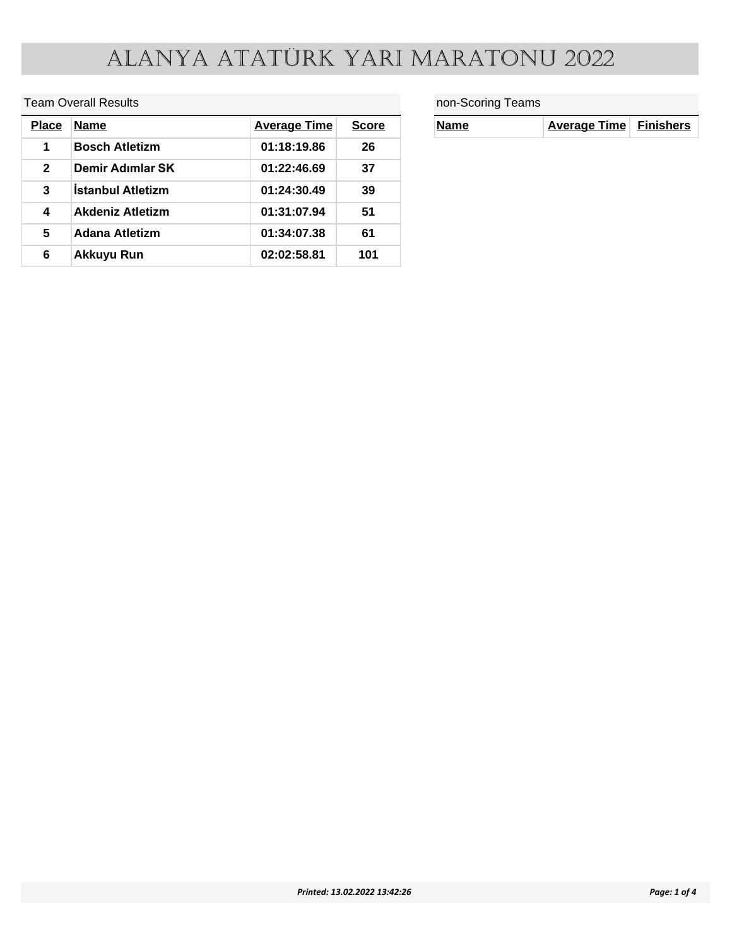#### Team Overall Results

| <b>Place</b> | <b>Name</b>              | <b>Average Time</b> | <b>Score</b> |
|--------------|--------------------------|---------------------|--------------|
| 1            | <b>Bosch Atletizm</b>    | 01:18:19.86         | 26           |
| $\mathbf{2}$ | Demir Adımlar SK         | 01:22:46.69         | 37           |
| 3            | <b>Istanbul Atletizm</b> | 01:24:30.49         | 39           |
| 4            | <b>Akdeniz Atletizm</b>  | 01:31:07.94         | 51           |
| 5            | Adana Atletizm           | 01:34:07.38         | 61           |
| 6            | <b>Akkuyu Run</b>        | 02:02:58.81         | 101          |

#### non-Scoring Teams

| <b>Name</b> | Average Time Finishers |  |
|-------------|------------------------|--|
|-------------|------------------------|--|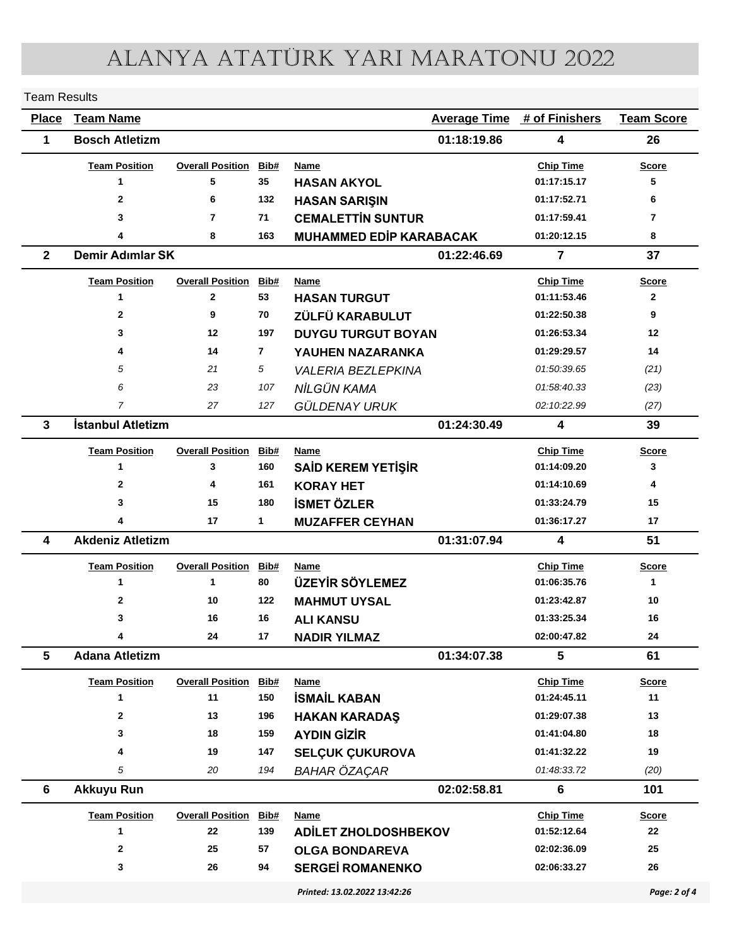| <b>Team Results</b> |                         |                         |                |                                |                                    |                   |
|---------------------|-------------------------|-------------------------|----------------|--------------------------------|------------------------------------|-------------------|
| <b>Place</b>        | <b>Team Name</b>        |                         |                |                                | <b>Average Time # of Finishers</b> | <b>Team Score</b> |
| 1                   | <b>Bosch Atletizm</b>   |                         |                | 01:18:19.86                    | $\overline{\mathbf{4}}$            | 26                |
|                     | <b>Team Position</b>    | <b>Overall Position</b> | Bib#           | <b>Name</b>                    | <b>Chip Time</b>                   | <b>Score</b>      |
|                     | 1                       | 5                       | 35             | <b>HASAN AKYOL</b>             | 01:17:15.17                        | 5                 |
|                     | 2                       | 6                       | 132            | <b>HASAN SARIŞIN</b>           | 01:17:52.71                        | 6                 |
|                     | 3                       | $\overline{7}$          | 71             | <b>CEMALETTIN SUNTUR</b>       | 01:17:59.41                        | $\overline{7}$    |
|                     | 4                       | 8                       | 163            | <b>MUHAMMED EDİP KARABACAK</b> | 01:20:12.15                        | 8                 |
| $\mathbf{2}$        | <b>Demir Adımlar SK</b> |                         |                | 01:22:46.69                    | $\overline{7}$                     | 37                |
|                     | <b>Team Position</b>    | <b>Overall Position</b> | Bib#           | Name                           | <b>Chip Time</b>                   | <b>Score</b>      |
|                     | 1                       | $\mathbf{2}$            | 53             | <b>HASAN TURGUT</b>            | 01:11:53.46                        | $\mathbf{2}$      |
|                     | $\overline{2}$          | 9                       | 70             | ZÜLFÜ KARABULUT                | 01:22:50.38                        | 9                 |
|                     | 3                       | 12                      | 197            | <b>DUYGU TURGUT BOYAN</b>      | 01:26:53.34                        | 12                |
|                     | 4                       | 14                      | $\overline{7}$ | YAUHEN NAZARANKA               | 01:29:29.57                        | 14                |
|                     | 5                       | 21                      | 5              | <b>VALERIA BEZLEPKINA</b>      | 01.50.39.65                        | (21)              |
|                     | 6                       | 23                      | 107            | NİLGÜN KAMA                    | 01.58.40.33                        | (23)              |
|                     | $\overline{7}$          | 27                      | 127            | GÜLDENAY URUK                  | 02:10:22.99                        | (27)              |
| 3                   | İstanbul Atletizm       |                         |                | 01:24:30.49                    | 4                                  | 39                |
|                     | <b>Team Position</b>    | <b>Overall Position</b> | Bib#           | <b>Name</b>                    | <b>Chip Time</b>                   | <b>Score</b>      |
|                     | 1                       | 3                       | 160            | <b>SAİD KEREM YETİŞİR</b>      | 01:14:09.20                        | 3                 |
|                     | $\mathbf{2}$            | 4                       | 161            | <b>KORAY HET</b>               | 01:14:10.69                        | 4                 |
|                     | 3                       | 15                      | 180            | <b>İSMET ÖZLER</b>             | 01:33:24.79                        | 15                |
|                     | 4                       | 17                      | 1              | <b>MUZAFFER CEYHAN</b>         | 01:36:17.27                        | 17                |
| 4                   | <b>Akdeniz Atletizm</b> |                         |                | 01:31:07.94                    | 4                                  | 51                |
|                     | <b>Team Position</b>    | <b>Overall Position</b> | Bib#           | Name                           | <b>Chip Time</b>                   | <b>Score</b>      |
|                     | 1                       | $\mathbf 1$             | 80             | <b>ÜZEYİR SÖYLEMEZ</b>         | 01:06:35.76                        | 1                 |
|                     | $\mathbf{2}$            | 10                      | 122            | <b>MAHMUT UYSAL</b>            | 01:23:42.87                        | 10                |
|                     | 3                       | 16                      | 16             | <b>ALI KANSU</b>               | 01:33:25.34                        | 16                |
|                     | 4                       | 24                      | 17             | <b>NADIR YILMAZ</b>            | 02:00:47.82                        | 24                |
| 5                   | <b>Adana Atletizm</b>   |                         |                | 01:34:07.38                    | 5                                  | 61                |
|                     | <b>Team Position</b>    | <b>Overall Position</b> | Bib#           | <b>Name</b>                    | <b>Chip Time</b>                   | <b>Score</b>      |
|                     | 1                       | 11                      | 150            | <b>İSMAİL KABAN</b>            | 01:24:45.11                        | 11                |
|                     | 2                       | 13                      | 196            | <b>HAKAN KARADAŞ</b>           | 01:29:07.38                        | 13                |
|                     | 3                       | 18                      | 159            | <b>AYDIN GİZİR</b>             | 01:41:04.80                        | 18                |
|                     | 4                       | 19                      | 147            | <b>SELÇUK ÇUKUROVA</b>         | 01:41:32.22                        | 19                |
|                     | 5                       | 20                      | 194            | <b>BAHAR ÖZAÇAR</b>            | 01:48:33.72                        | (20)              |
| 6                   | <b>Akkuyu Run</b>       |                         |                | 02:02:58.81                    | 6                                  | 101               |
|                     | <b>Team Position</b>    | <b>Overall Position</b> | Bib#           | Name                           | <b>Chip Time</b>                   | <b>Score</b>      |
|                     | 1                       | 22                      | 139            | ADİLET ZHOLDOSHBEKOV           | 01:52:12.64                        | 22                |
|                     | $\mathbf{2}$            | 25                      | 57             | <b>OLGA BONDAREVA</b>          | 02:02:36.09                        | 25                |
|                     | 3                       | 26                      | 94             | <b>SERGEİ ROMANENKO</b>        | 02:06:33.27                        | 26                |
|                     |                         |                         |                | Printed: 13.02.2022 13:42:26   |                                    | Page: 2 of 4      |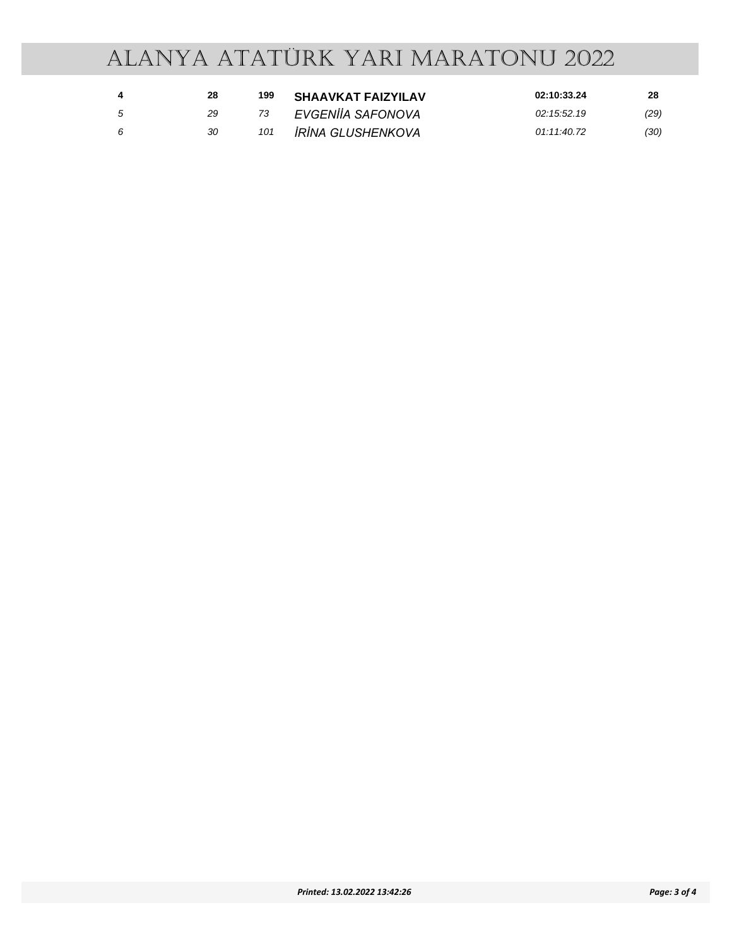|    | 28 | 199 | <b>SHAAVKAT FAIZYILAV</b>       | 02:10:33.24 | 28   |
|----|----|-----|---------------------------------|-------------|------|
| -5 | 29 |     | EVGENIIA SAFONOVA               | 02:15:52.19 | (29) |
| -6 | 30 | 101 | <i><b>IRINA GLUSHENKOVA</b></i> | 01:11:40.72 | (30) |